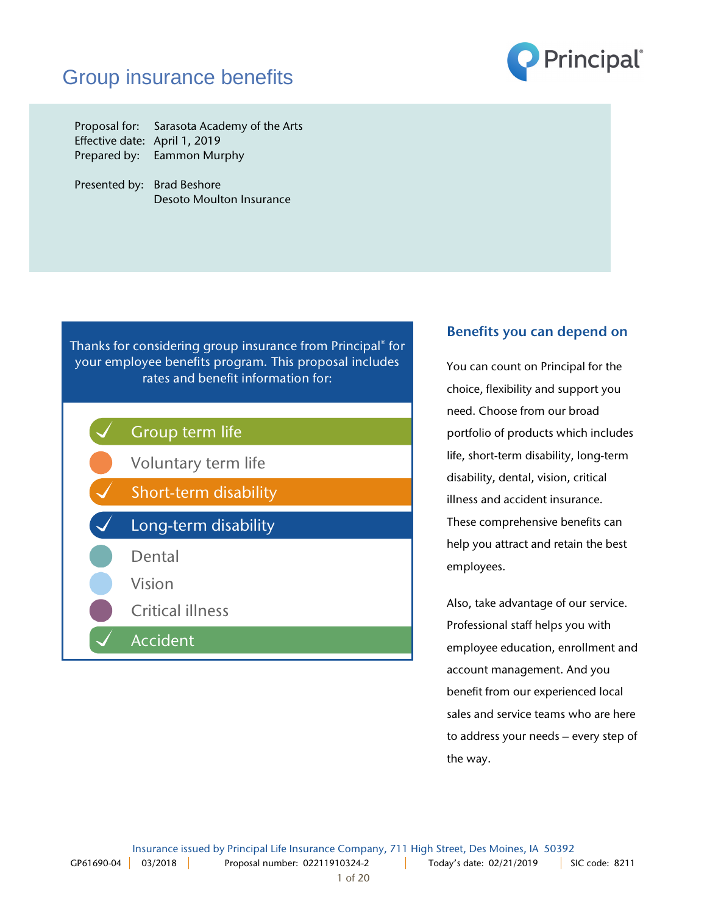## Group insurance benefits



Proposal for: Sarasota Academy of the Arts Effective date: April 1, 2019 Prepared by: Eammon Murphy

Presented by: Brad Beshore Desoto Moulton Insurance

Thanks for considering group insurance from Principal® for your employee benefits program. This proposal includes rates and benefit information for:



## Benefits you can depend on

You can count on Principal for the choice, flexibility and support you need. Choose from our broad portfolio of products which includes life, short-term disability, long-term disability, dental, vision, critical illness and accident insurance. These comprehensive benefits can help you attract and retain the best employees.

Also, take advantage of our service. Professional staff helps you with employee education, enrollment and account management. And you benefit from our experienced local sales and service teams who are here to address your needs – every step of the way.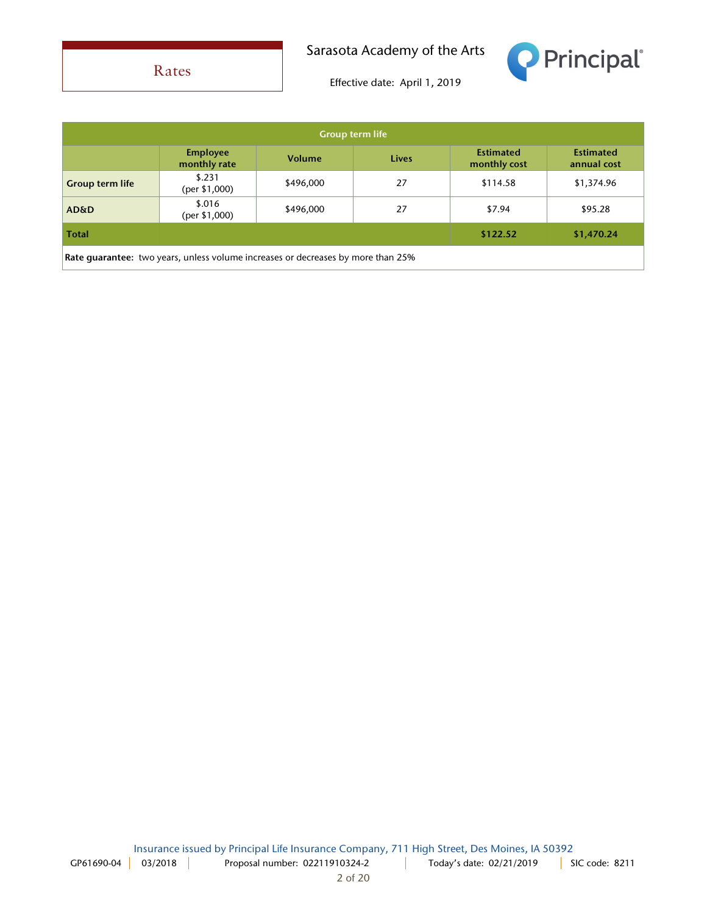Rates

Sarasota Academy of the Arts



| <b>Group term life</b>                                                           |                                 |           |       |                                  |                                 |
|----------------------------------------------------------------------------------|---------------------------------|-----------|-------|----------------------------------|---------------------------------|
|                                                                                  | <b>Employee</b><br>monthly rate | Volume    | Lives | <b>Estimated</b><br>monthly cost | <b>Estimated</b><br>annual cost |
| <b>Group term life</b>                                                           | \$.231<br>(per \$1,000)         | \$496,000 | 27    | \$114.58                         | \$1,374.96                      |
| <b>AD&amp;D</b>                                                                  | \$.016<br>(per \$1,000)         | \$496,000 | 27    | \$7.94                           | \$95.28                         |
| <b>Total</b>                                                                     |                                 |           |       | \$122.52                         | \$1,470.24                      |
| Rate guarantee: two years, unless volume increases or decreases by more than 25% |                                 |           |       |                                  |                                 |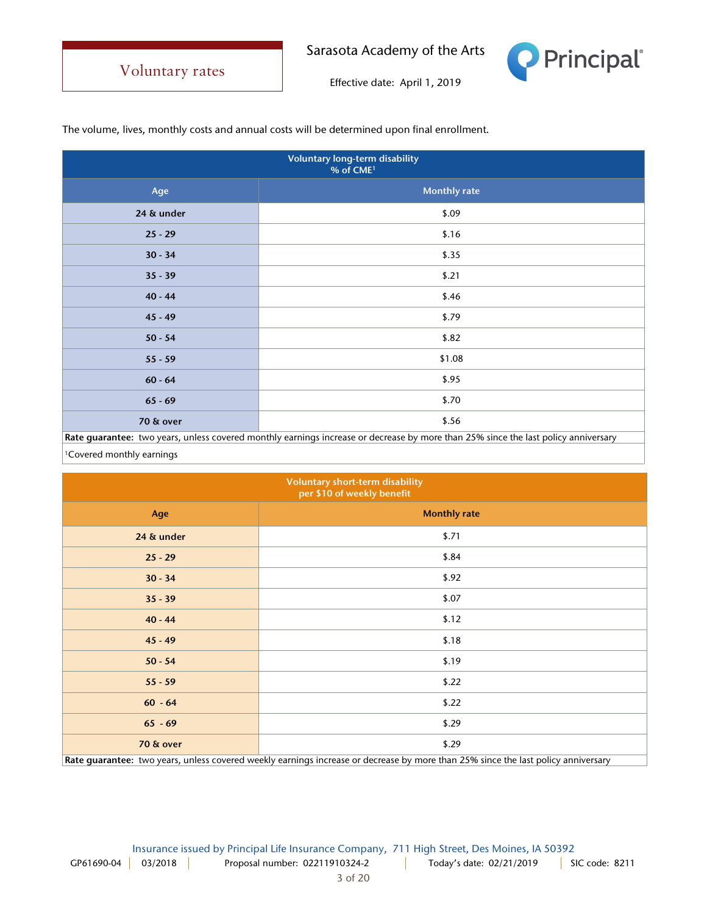

Effective date: April 1, 2019

The volume, lives, monthly costs and annual costs will be determined upon final enrollment.

| <b>Voluntary long-term disability</b><br>% of CME <sup>1</sup>                                                                     |                     |  |
|------------------------------------------------------------------------------------------------------------------------------------|---------------------|--|
| Age                                                                                                                                | <b>Monthly rate</b> |  |
| 24 & under                                                                                                                         | \$.09               |  |
| $25 - 29$                                                                                                                          | \$.16               |  |
| $30 - 34$                                                                                                                          | \$.35               |  |
| $35 - 39$                                                                                                                          | \$.21               |  |
| $40 - 44$                                                                                                                          | \$.46               |  |
| $45 - 49$                                                                                                                          | \$.79               |  |
| $50 - 54$                                                                                                                          | \$.82               |  |
| $55 - 59$                                                                                                                          | \$1.08              |  |
| $60 - 64$                                                                                                                          | \$.95               |  |
| $65 - 69$                                                                                                                          | \$.70               |  |
| 70 & over                                                                                                                          | \$.56               |  |
| Rate guarantee: two years, unless covered monthly earnings increase or decrease by more than 25% since the last policy anniversary |                     |  |

Covered monthly earnings

| <b>Voluntary short-term disability</b><br>per \$10 of weekly benefit                                                              |                     |  |
|-----------------------------------------------------------------------------------------------------------------------------------|---------------------|--|
| Age                                                                                                                               | <b>Monthly rate</b> |  |
| 24 & under                                                                                                                        | \$.71               |  |
| $25 - 29$                                                                                                                         | \$.84               |  |
| $30 - 34$                                                                                                                         | \$.92               |  |
| $35 - 39$                                                                                                                         | \$.07               |  |
| $40 - 44$                                                                                                                         | \$.12               |  |
| $45 - 49$                                                                                                                         | \$.18               |  |
| $50 - 54$                                                                                                                         | \$.19               |  |
| $55 - 59$                                                                                                                         | \$.22               |  |
| $60 - 64$                                                                                                                         | \$.22               |  |
| $65 - 69$                                                                                                                         | \$.29               |  |
| 70 & over                                                                                                                         | \$.29               |  |
| Rate guarantee: two years, unless covered weekly earnings increase or decrease by more than 25% since the last policy anniversary |                     |  |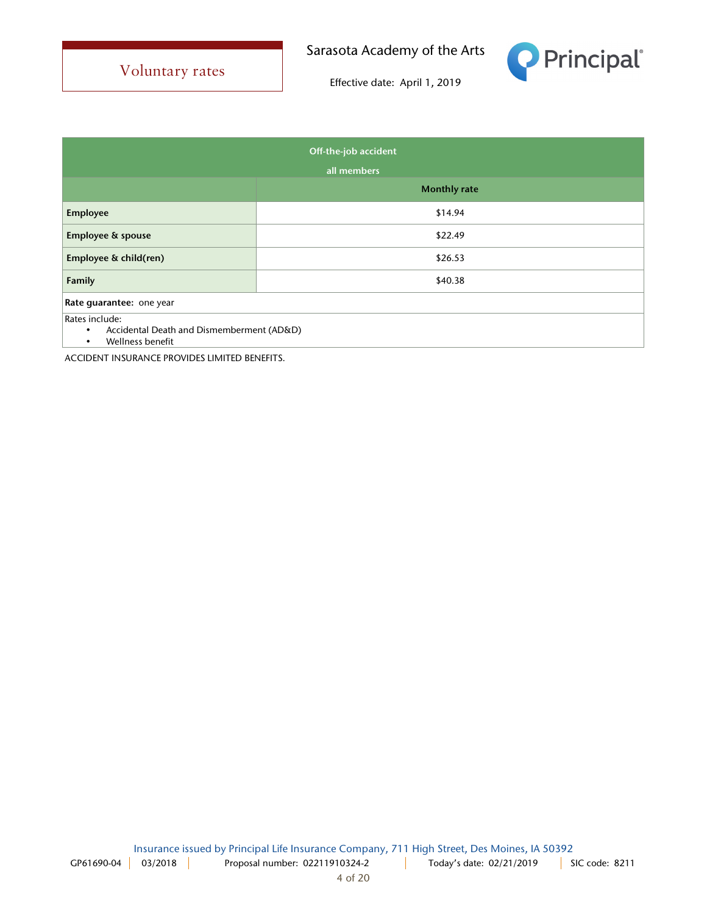

Effective date: April 1, 2019

| Off-the-job accident                                                                                      |                     |  |
|-----------------------------------------------------------------------------------------------------------|---------------------|--|
| all members                                                                                               |                     |  |
|                                                                                                           | <b>Monthly rate</b> |  |
| <b>Employee</b>                                                                                           | \$14.94             |  |
| Employee & spouse                                                                                         | \$22.49             |  |
| Employee & child(ren)                                                                                     | \$26.53             |  |
| Family                                                                                                    | \$40.38             |  |
| Rate guarantee: one year                                                                                  |                     |  |
| Rates include:<br>Accidental Death and Dismemberment (AD&D)<br>$\bullet$<br>Wellness benefit<br>$\bullet$ |                     |  |

ACCIDENT INSURANCE PROVIDES LIMITED BENEFITS.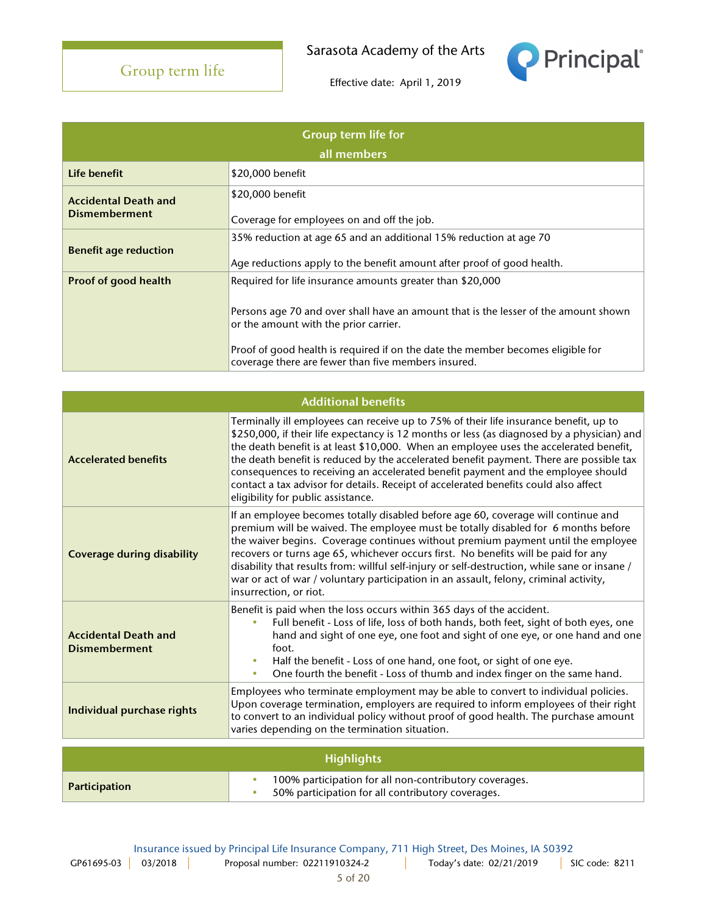

| <b>Group term life for</b><br>all members           |                                                                                                                                        |  |
|-----------------------------------------------------|----------------------------------------------------------------------------------------------------------------------------------------|--|
| Life benefit                                        | \$20,000 benefit                                                                                                                       |  |
| <b>Accidental Death and</b><br><b>Dismemberment</b> | \$20,000 benefit                                                                                                                       |  |
|                                                     | Coverage for employees on and off the job.                                                                                             |  |
| <b>Benefit age reduction</b>                        | 35% reduction at age 65 and an additional 15% reduction at age 70                                                                      |  |
|                                                     | Age reductions apply to the benefit amount after proof of good health.                                                                 |  |
| <b>Proof of good health</b>                         | Required for life insurance amounts greater than \$20,000                                                                              |  |
|                                                     | Persons age 70 and over shall have an amount that is the lesser of the amount shown<br>or the amount with the prior carrier.           |  |
|                                                     | Proof of good health is required if on the date the member becomes eligible for<br>coverage there are fewer than five members insured. |  |

| <b>Additional benefits</b>                          |                                                                                                                                                                                                                                                                                                                                                                                                                                                                                                                                                                                            |  |
|-----------------------------------------------------|--------------------------------------------------------------------------------------------------------------------------------------------------------------------------------------------------------------------------------------------------------------------------------------------------------------------------------------------------------------------------------------------------------------------------------------------------------------------------------------------------------------------------------------------------------------------------------------------|--|
| <b>Accelerated benefits</b>                         | Terminally ill employees can receive up to 75% of their life insurance benefit, up to<br>\$250,000, if their life expectancy is 12 months or less (as diagnosed by a physician) and<br>the death benefit is at least \$10,000. When an employee uses the accelerated benefit,<br>the death benefit is reduced by the accelerated benefit payment. There are possible tax<br>consequences to receiving an accelerated benefit payment and the employee should<br>contact a tax advisor for details. Receipt of accelerated benefits could also affect<br>eligibility for public assistance. |  |
| <b>Coverage during disability</b>                   | If an employee becomes totally disabled before age 60, coverage will continue and<br>premium will be waived. The employee must be totally disabled for 6 months before<br>the waiver begins. Coverage continues without premium payment until the employee<br>recovers or turns age 65, whichever occurs first. No benefits will be paid for any<br>disability that results from: willful self-injury or self-destruction, while sane or insane /<br>war or act of war / voluntary participation in an assault, felony, criminal activity,<br>insurrection, or riot.                       |  |
| <b>Accidental Death and</b><br><b>Dismemberment</b> | Benefit is paid when the loss occurs within 365 days of the accident.<br>Full benefit - Loss of life, loss of both hands, both feet, sight of both eyes, one<br>hand and sight of one eye, one foot and sight of one eye, or one hand and one<br>foot.<br>Half the benefit - Loss of one hand, one foot, or sight of one eye.<br>One fourth the benefit - Loss of thumb and index finger on the same hand.<br>$\bullet$                                                                                                                                                                    |  |
| Individual purchase rights                          | Employees who terminate employment may be able to convert to individual policies.<br>Upon coverage termination, employers are required to inform employees of their right<br>to convert to an individual policy without proof of good health. The purchase amount<br>varies depending on the termination situation.                                                                                                                                                                                                                                                                        |  |
| <b>Highlights</b>                                   |                                                                                                                                                                                                                                                                                                                                                                                                                                                                                                                                                                                            |  |
| Participation                                       | 100% participation for all non-contributory coverages.<br>$\bullet$<br>50% participation for all contributory coverages.                                                                                                                                                                                                                                                                                                                                                                                                                                                                   |  |

Insurance issued by Principal Life Insurance Company, 711 High Street, Des Moines, IA 50392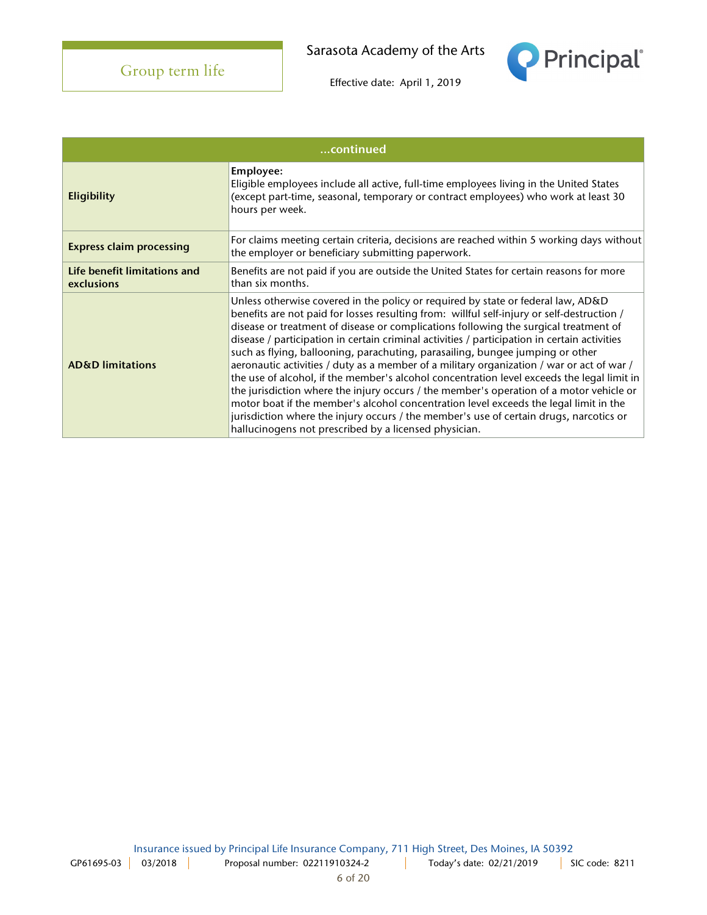**Principal** 

| continued                                  |                                                                                                                                                                                                                                                                                                                                                                                                                                                                                                                                                                                                                                                                                                                                                                                                                                                                                                                                                                                           |  |
|--------------------------------------------|-------------------------------------------------------------------------------------------------------------------------------------------------------------------------------------------------------------------------------------------------------------------------------------------------------------------------------------------------------------------------------------------------------------------------------------------------------------------------------------------------------------------------------------------------------------------------------------------------------------------------------------------------------------------------------------------------------------------------------------------------------------------------------------------------------------------------------------------------------------------------------------------------------------------------------------------------------------------------------------------|--|
| Eligibility                                | Employee:<br>Eligible employees include all active, full-time employees living in the United States<br>(except part-time, seasonal, temporary or contract employees) who work at least 30<br>hours per week.                                                                                                                                                                                                                                                                                                                                                                                                                                                                                                                                                                                                                                                                                                                                                                              |  |
| <b>Express claim processing</b>            | For claims meeting certain criteria, decisions are reached within 5 working days without<br>the employer or beneficiary submitting paperwork.                                                                                                                                                                                                                                                                                                                                                                                                                                                                                                                                                                                                                                                                                                                                                                                                                                             |  |
| Life benefit limitations and<br>exclusions | Benefits are not paid if you are outside the United States for certain reasons for more<br>than six months.                                                                                                                                                                                                                                                                                                                                                                                                                                                                                                                                                                                                                                                                                                                                                                                                                                                                               |  |
| <b>AD&amp;D</b> limitations                | Unless otherwise covered in the policy or required by state or federal law, AD&D<br>benefits are not paid for losses resulting from: willful self-injury or self-destruction /<br>disease or treatment of disease or complications following the surgical treatment of<br>disease / participation in certain criminal activities / participation in certain activities<br>such as flying, ballooning, parachuting, parasailing, bungee jumping or other<br>aeronautic activities / duty as a member of a military organization / war or act of war /<br>the use of alcohol, if the member's alcohol concentration level exceeds the legal limit in<br>the jurisdiction where the injury occurs / the member's operation of a motor vehicle or<br>motor boat if the member's alcohol concentration level exceeds the legal limit in the<br>jurisdiction where the injury occurs / the member's use of certain drugs, narcotics or<br>hallucinogens not prescribed by a licensed physician. |  |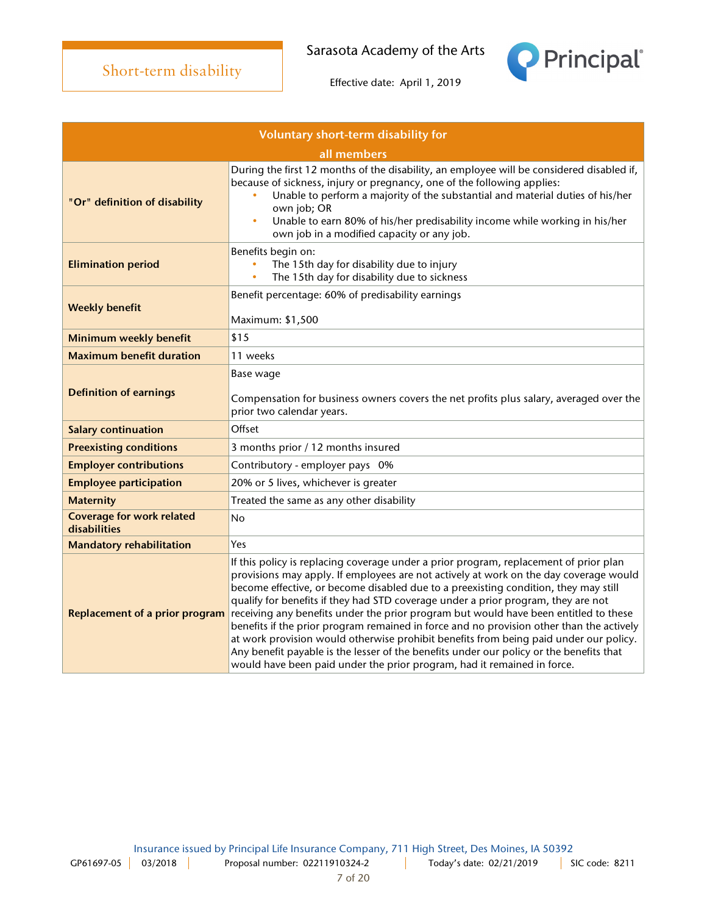

|                                                  | <u>all illeflibers</u>                                                                                                                                                                                                                                                                                                                                                                                                                                                                                                                                                                                                                                                                                                                                                                                        |  |
|--------------------------------------------------|---------------------------------------------------------------------------------------------------------------------------------------------------------------------------------------------------------------------------------------------------------------------------------------------------------------------------------------------------------------------------------------------------------------------------------------------------------------------------------------------------------------------------------------------------------------------------------------------------------------------------------------------------------------------------------------------------------------------------------------------------------------------------------------------------------------|--|
| "Or" definition of disability                    | During the first 12 months of the disability, an employee will be considered disabled if,<br>because of sickness, injury or pregnancy, one of the following applies:<br>Unable to perform a majority of the substantial and material duties of his/her<br>own job; OR<br>Unable to earn 80% of his/her predisability income while working in his/her<br>$\bullet$<br>own job in a modified capacity or any job.                                                                                                                                                                                                                                                                                                                                                                                               |  |
| <b>Elimination period</b>                        | Benefits begin on:<br>The 15th day for disability due to injury<br>The 15th day for disability due to sickness                                                                                                                                                                                                                                                                                                                                                                                                                                                                                                                                                                                                                                                                                                |  |
| <b>Weekly benefit</b>                            | Benefit percentage: 60% of predisability earnings<br>Maximum: \$1,500                                                                                                                                                                                                                                                                                                                                                                                                                                                                                                                                                                                                                                                                                                                                         |  |
| Minimum weekly benefit                           | \$15                                                                                                                                                                                                                                                                                                                                                                                                                                                                                                                                                                                                                                                                                                                                                                                                          |  |
| <b>Maximum benefit duration</b>                  | 11 weeks                                                                                                                                                                                                                                                                                                                                                                                                                                                                                                                                                                                                                                                                                                                                                                                                      |  |
| <b>Definition of earnings</b>                    | Base wage<br>Compensation for business owners covers the net profits plus salary, averaged over the<br>prior two calendar years.                                                                                                                                                                                                                                                                                                                                                                                                                                                                                                                                                                                                                                                                              |  |
| <b>Salary continuation</b>                       | Offset                                                                                                                                                                                                                                                                                                                                                                                                                                                                                                                                                                                                                                                                                                                                                                                                        |  |
| <b>Preexisting conditions</b>                    | 3 months prior / 12 months insured                                                                                                                                                                                                                                                                                                                                                                                                                                                                                                                                                                                                                                                                                                                                                                            |  |
| <b>Employer contributions</b>                    | Contributory - employer pays 0%                                                                                                                                                                                                                                                                                                                                                                                                                                                                                                                                                                                                                                                                                                                                                                               |  |
| <b>Employee participation</b>                    | 20% or 5 lives, whichever is greater                                                                                                                                                                                                                                                                                                                                                                                                                                                                                                                                                                                                                                                                                                                                                                          |  |
| <b>Maternity</b>                                 | Treated the same as any other disability                                                                                                                                                                                                                                                                                                                                                                                                                                                                                                                                                                                                                                                                                                                                                                      |  |
| <b>Coverage for work related</b><br>disabilities | No                                                                                                                                                                                                                                                                                                                                                                                                                                                                                                                                                                                                                                                                                                                                                                                                            |  |
| <b>Mandatory rehabilitation</b>                  | Yes                                                                                                                                                                                                                                                                                                                                                                                                                                                                                                                                                                                                                                                                                                                                                                                                           |  |
| <b>Replacement of a prior program</b>            | If this policy is replacing coverage under a prior program, replacement of prior plan<br>provisions may apply. If employees are not actively at work on the day coverage would<br>become effective, or become disabled due to a preexisting condition, they may still<br>qualify for benefits if they had STD coverage under a prior program, they are not<br>receiving any benefits under the prior program but would have been entitled to these<br>benefits if the prior program remained in force and no provision other than the actively<br>at work provision would otherwise prohibit benefits from being paid under our policy.<br>Any benefit payable is the lesser of the benefits under our policy or the benefits that<br>would have been paid under the prior program, had it remained in force. |  |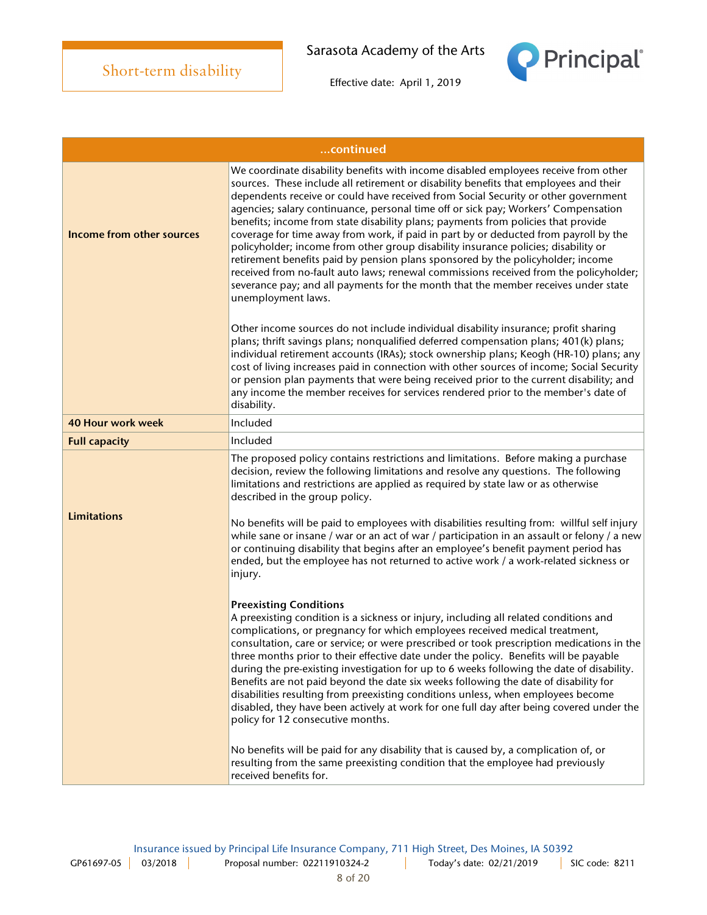

|                                  | continued                                                                                                                                                                                                                                                                                                                                                                                                                                                                                                                                                                                                                                                                                                                                                                                                                                                                                                           |  |  |
|----------------------------------|---------------------------------------------------------------------------------------------------------------------------------------------------------------------------------------------------------------------------------------------------------------------------------------------------------------------------------------------------------------------------------------------------------------------------------------------------------------------------------------------------------------------------------------------------------------------------------------------------------------------------------------------------------------------------------------------------------------------------------------------------------------------------------------------------------------------------------------------------------------------------------------------------------------------|--|--|
| <b>Income from other sources</b> | We coordinate disability benefits with income disabled employees receive from other<br>sources. These include all retirement or disability benefits that employees and their<br>dependents receive or could have received from Social Security or other government<br>agencies; salary continuance, personal time off or sick pay; Workers' Compensation<br>benefits; income from state disability plans; payments from policies that provide<br>coverage for time away from work, if paid in part by or deducted from payroll by the<br>policyholder; income from other group disability insurance policies; disability or<br>retirement benefits paid by pension plans sponsored by the policyholder; income<br>received from no-fault auto laws; renewal commissions received from the policyholder;<br>severance pay; and all payments for the month that the member receives under state<br>unemployment laws. |  |  |
|                                  | Other income sources do not include individual disability insurance; profit sharing<br>plans; thrift savings plans; nonqualified deferred compensation plans; 401(k) plans;<br>individual retirement accounts (IRAs); stock ownership plans; Keogh (HR-10) plans; any<br>cost of living increases paid in connection with other sources of income; Social Security<br>or pension plan payments that were being received prior to the current disability; and<br>any income the member receives for services rendered prior to the member's date of<br>disability.                                                                                                                                                                                                                                                                                                                                                   |  |  |
| <b>40 Hour work week</b>         | Included                                                                                                                                                                                                                                                                                                                                                                                                                                                                                                                                                                                                                                                                                                                                                                                                                                                                                                            |  |  |
| <b>Full capacity</b>             | Included                                                                                                                                                                                                                                                                                                                                                                                                                                                                                                                                                                                                                                                                                                                                                                                                                                                                                                            |  |  |
| <b>Limitations</b>               | The proposed policy contains restrictions and limitations. Before making a purchase<br>decision, review the following limitations and resolve any questions. The following<br>limitations and restrictions are applied as required by state law or as otherwise<br>described in the group policy.<br>No benefits will be paid to employees with disabilities resulting from: willful self injury<br>while sane or insane / war or an act of war / participation in an assault or felony / a new<br>or continuing disability that begins after an employee's benefit payment period has<br>ended, but the employee has not returned to active work / a work-related sickness or<br>injury.                                                                                                                                                                                                                           |  |  |
|                                  | <b>Preexisting Conditions</b><br>A preexisting condition is a sickness or injury, including all related conditions and<br>complications, or pregnancy for which employees received medical treatment,<br>consultation, care or service; or were prescribed or took prescription medications in the<br>three months prior to their effective date under the policy. Benefits will be payable<br>during the pre-existing investigation for up to 6 weeks following the date of disability.<br>Benefits are not paid beyond the date six weeks following the date of disability for<br>disabilities resulting from preexisting conditions unless, when employees become<br>disabled, they have been actively at work for one full day after being covered under the<br>policy for 12 consecutive months.<br>No benefits will be paid for any disability that is caused by, a complication of, or                       |  |  |
|                                  | resulting from the same preexisting condition that the employee had previously<br>received benefits for.                                                                                                                                                                                                                                                                                                                                                                                                                                                                                                                                                                                                                                                                                                                                                                                                            |  |  |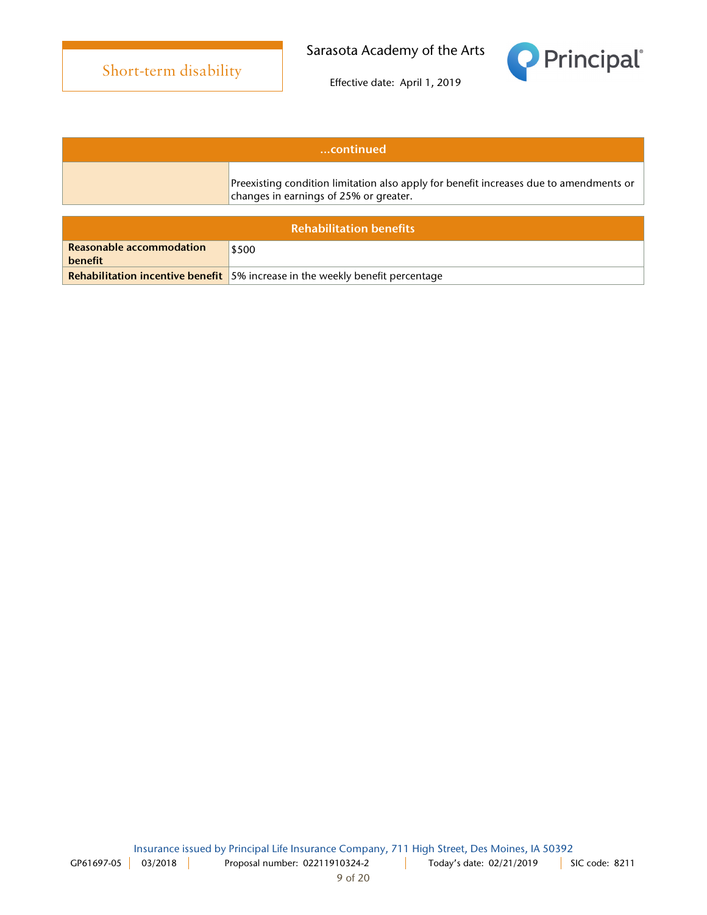

| www.continued                  |                                                                                                                               |  |
|--------------------------------|-------------------------------------------------------------------------------------------------------------------------------|--|
|                                | Preexisting condition limitation also apply for benefit increases due to amendments or changes in earnings of 25% or greater. |  |
|                                |                                                                                                                               |  |
| <b>Rehabilitation benefits</b> |                                                                                                                               |  |

| <u>IVAINDINAALVII DENEN</u> |                                                                                      |  |
|-----------------------------|--------------------------------------------------------------------------------------|--|
| Reasonable accommodation    | \$500                                                                                |  |
| benefit                     |                                                                                      |  |
|                             | <b>Rehabilitation incentive benefit</b> 5% increase in the weekly benefit percentage |  |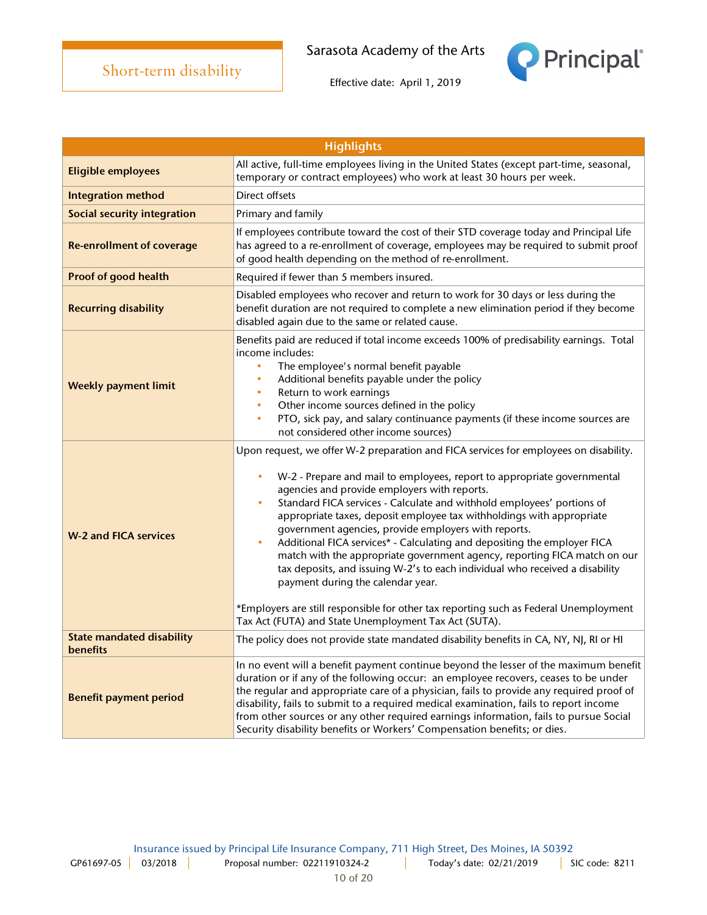

| <b>Highlights</b>                            |                                                                                                                                                                                                                                                                                                                                                                                                                                                                                                                                                                                                                                                                                                                                                                                                                                                                          |  |
|----------------------------------------------|--------------------------------------------------------------------------------------------------------------------------------------------------------------------------------------------------------------------------------------------------------------------------------------------------------------------------------------------------------------------------------------------------------------------------------------------------------------------------------------------------------------------------------------------------------------------------------------------------------------------------------------------------------------------------------------------------------------------------------------------------------------------------------------------------------------------------------------------------------------------------|--|
| <b>Eligible employees</b>                    | All active, full-time employees living in the United States (except part-time, seasonal,<br>temporary or contract employees) who work at least 30 hours per week.                                                                                                                                                                                                                                                                                                                                                                                                                                                                                                                                                                                                                                                                                                        |  |
| <b>Integration method</b>                    | Direct offsets                                                                                                                                                                                                                                                                                                                                                                                                                                                                                                                                                                                                                                                                                                                                                                                                                                                           |  |
| <b>Social security integration</b>           | Primary and family                                                                                                                                                                                                                                                                                                                                                                                                                                                                                                                                                                                                                                                                                                                                                                                                                                                       |  |
| <b>Re-enrollment of coverage</b>             | If employees contribute toward the cost of their STD coverage today and Principal Life<br>has agreed to a re-enrollment of coverage, employees may be required to submit proof<br>of good health depending on the method of re-enrollment.                                                                                                                                                                                                                                                                                                                                                                                                                                                                                                                                                                                                                               |  |
| Proof of good health                         | Required if fewer than 5 members insured.                                                                                                                                                                                                                                                                                                                                                                                                                                                                                                                                                                                                                                                                                                                                                                                                                                |  |
| <b>Recurring disability</b>                  | Disabled employees who recover and return to work for 30 days or less during the<br>benefit duration are not required to complete a new elimination period if they become<br>disabled again due to the same or related cause.                                                                                                                                                                                                                                                                                                                                                                                                                                                                                                                                                                                                                                            |  |
| <b>Weekly payment limit</b>                  | Benefits paid are reduced if total income exceeds 100% of predisability earnings. Total<br>income includes:<br>The employee's normal benefit payable<br>$\bullet$<br>Additional benefits payable under the policy<br>$\bullet$<br>Return to work earnings<br>$\bullet$<br>Other income sources defined in the policy<br>$\bullet$<br>PTO, sick pay, and salary continuance payments (if these income sources are<br>$\bullet$<br>not considered other income sources)                                                                                                                                                                                                                                                                                                                                                                                                    |  |
| <b>W-2 and FICA services</b>                 | Upon request, we offer W-2 preparation and FICA services for employees on disability.<br>W-2 - Prepare and mail to employees, report to appropriate governmental<br>agencies and provide employers with reports.<br>Standard FICA services - Calculate and withhold employees' portions of<br>appropriate taxes, deposit employee tax withholdings with appropriate<br>government agencies, provide employers with reports.<br>Additional FICA services* - Calculating and depositing the employer FICA<br>$\bullet$<br>match with the appropriate government agency, reporting FICA match on our<br>tax deposits, and issuing W-2's to each individual who received a disability<br>payment during the calendar year.<br>*Employers are still responsible for other tax reporting such as Federal Unemployment<br>Tax Act (FUTA) and State Unemployment Tax Act (SUTA). |  |
| <b>State mandated disability</b><br>benefits | The policy does not provide state mandated disability benefits in CA, NY, NJ, RI or HI                                                                                                                                                                                                                                                                                                                                                                                                                                                                                                                                                                                                                                                                                                                                                                                   |  |
| <b>Benefit payment period</b>                | In no event will a benefit payment continue beyond the lesser of the maximum benefit<br>duration or if any of the following occur: an employee recovers, ceases to be under<br>the regular and appropriate care of a physician, fails to provide any required proof of<br>disability, fails to submit to a required medical examination, fails to report income<br>from other sources or any other required earnings information, fails to pursue Social<br>Security disability benefits or Workers' Compensation benefits; or dies.                                                                                                                                                                                                                                                                                                                                     |  |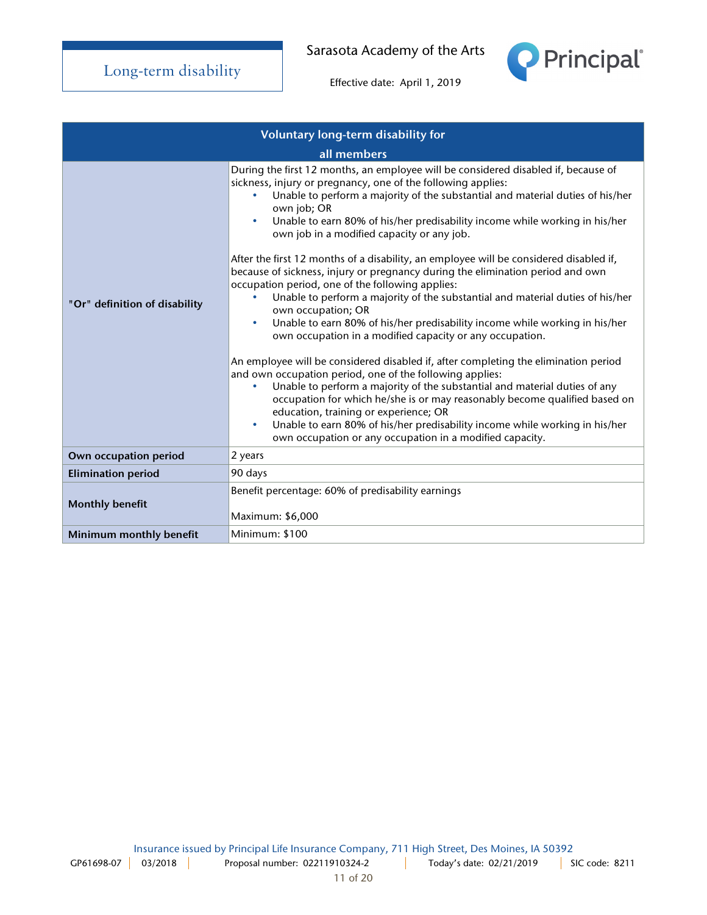



| Voluntary long-term disability for |                                                                                                                                                                                                                                                                                                                                                                                                                                                                                                                                                                                                                                                                                                                                                                                                                                                                                                                                                                                                                                                                                                                                                                                                                                                                                                                                                                                                               |
|------------------------------------|---------------------------------------------------------------------------------------------------------------------------------------------------------------------------------------------------------------------------------------------------------------------------------------------------------------------------------------------------------------------------------------------------------------------------------------------------------------------------------------------------------------------------------------------------------------------------------------------------------------------------------------------------------------------------------------------------------------------------------------------------------------------------------------------------------------------------------------------------------------------------------------------------------------------------------------------------------------------------------------------------------------------------------------------------------------------------------------------------------------------------------------------------------------------------------------------------------------------------------------------------------------------------------------------------------------------------------------------------------------------------------------------------------------|
| all members                        |                                                                                                                                                                                                                                                                                                                                                                                                                                                                                                                                                                                                                                                                                                                                                                                                                                                                                                                                                                                                                                                                                                                                                                                                                                                                                                                                                                                                               |
| "Or" definition of disability      | During the first 12 months, an employee will be considered disabled if, because of<br>sickness, injury or pregnancy, one of the following applies:<br>Unable to perform a majority of the substantial and material duties of his/her<br>own job; OR<br>Unable to earn 80% of his/her predisability income while working in his/her<br>$\bullet$<br>own job in a modified capacity or any job.<br>After the first 12 months of a disability, an employee will be considered disabled if,<br>because of sickness, injury or pregnancy during the elimination period and own<br>occupation period, one of the following applies:<br>Unable to perform a majority of the substantial and material duties of his/her<br>own occupation; OR<br>Unable to earn 80% of his/her predisability income while working in his/her<br>$\bullet$<br>own occupation in a modified capacity or any occupation.<br>An employee will be considered disabled if, after completing the elimination period<br>and own occupation period, one of the following applies:<br>Unable to perform a majority of the substantial and material duties of any<br>occupation for which he/she is or may reasonably become qualified based on<br>education, training or experience; OR<br>Unable to earn 80% of his/her predisability income while working in his/her<br>$\bullet$<br>own occupation or any occupation in a modified capacity. |
| Own occupation period              | 2 years                                                                                                                                                                                                                                                                                                                                                                                                                                                                                                                                                                                                                                                                                                                                                                                                                                                                                                                                                                                                                                                                                                                                                                                                                                                                                                                                                                                                       |
| <b>Elimination period</b>          | 90 days                                                                                                                                                                                                                                                                                                                                                                                                                                                                                                                                                                                                                                                                                                                                                                                                                                                                                                                                                                                                                                                                                                                                                                                                                                                                                                                                                                                                       |
| <b>Monthly benefit</b>             | Benefit percentage: 60% of predisability earnings<br>Maximum: \$6,000                                                                                                                                                                                                                                                                                                                                                                                                                                                                                                                                                                                                                                                                                                                                                                                                                                                                                                                                                                                                                                                                                                                                                                                                                                                                                                                                         |
| Minimum monthly benefit            | Minimum: \$100                                                                                                                                                                                                                                                                                                                                                                                                                                                                                                                                                                                                                                                                                                                                                                                                                                                                                                                                                                                                                                                                                                                                                                                                                                                                                                                                                                                                |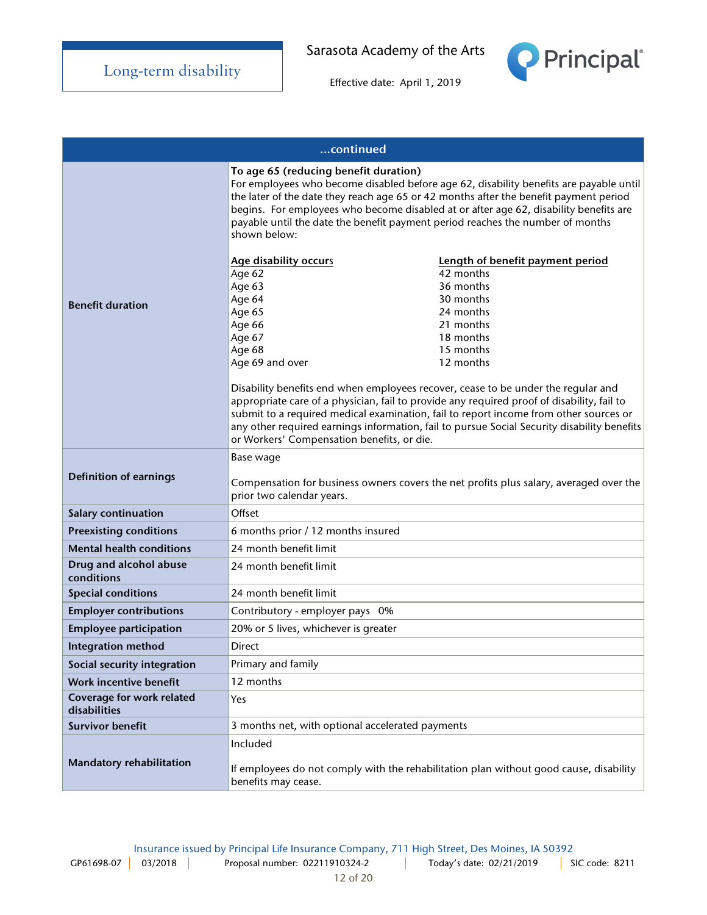

| continued                                 |                                                                                                                                                                                                                                                          |                                                                                                                                                                                                                                                                                                                                                                                                                                |
|-------------------------------------------|----------------------------------------------------------------------------------------------------------------------------------------------------------------------------------------------------------------------------------------------------------|--------------------------------------------------------------------------------------------------------------------------------------------------------------------------------------------------------------------------------------------------------------------------------------------------------------------------------------------------------------------------------------------------------------------------------|
|                                           | To age 65 (reducing benefit duration)<br>payable until the date the benefit payment period reaches the number of months<br>shown below:                                                                                                                  | For employees who become disabled before age 62, disability benefits are payable until<br>the later of the date they reach age 65 or 42 months after the benefit payment period<br>begins. For employees who become disabled at or after age 62, disability benefits are                                                                                                                                                       |
| <b>Benefit duration</b>                   | <b>Age disability occurs</b><br>Age 62<br>Age 63<br>Age 64<br>Age 65<br>Age 66<br>Age 67<br>Age 68<br>Age 69 and over<br>Disability benefits end when employees recover, cease to be under the regular and<br>or Workers' Compensation benefits, or die. | Length of benefit payment period<br>42 months<br>36 months<br>30 months<br>24 months<br>21 months<br>18 months<br>15 months<br>12 months<br>appropriate care of a physician, fail to provide any required proof of disability, fail to<br>submit to a required medical examination, fail to report income from other sources or<br>any other required earnings information, fail to pursue Social Security disability benefits |
| <b>Definition of earnings</b>             | Base wage<br>Compensation for business owners covers the net profits plus salary, averaged over the<br>prior two calendar years.                                                                                                                         |                                                                                                                                                                                                                                                                                                                                                                                                                                |
| Salary continuation                       | Offset                                                                                                                                                                                                                                                   |                                                                                                                                                                                                                                                                                                                                                                                                                                |
| <b>Preexisting conditions</b>             | 6 months prior / 12 months insured                                                                                                                                                                                                                       |                                                                                                                                                                                                                                                                                                                                                                                                                                |
| <b>Mental health conditions</b>           | 24 month benefit limit                                                                                                                                                                                                                                   |                                                                                                                                                                                                                                                                                                                                                                                                                                |
| Drug and alcohol abuse<br>conditions      | 24 month benefit limit                                                                                                                                                                                                                                   |                                                                                                                                                                                                                                                                                                                                                                                                                                |
| <b>Special conditions</b>                 | 24 month benefit limit                                                                                                                                                                                                                                   |                                                                                                                                                                                                                                                                                                                                                                                                                                |
| <b>Employer contributions</b>             | Contributory - employer pays 0%                                                                                                                                                                                                                          |                                                                                                                                                                                                                                                                                                                                                                                                                                |
| <b>Employee participation</b>             | 20% or 5 lives, whichever is greater                                                                                                                                                                                                                     |                                                                                                                                                                                                                                                                                                                                                                                                                                |
| <b>Integration method</b>                 | Direct                                                                                                                                                                                                                                                   |                                                                                                                                                                                                                                                                                                                                                                                                                                |
| Social security integration               | Primary and family                                                                                                                                                                                                                                       |                                                                                                                                                                                                                                                                                                                                                                                                                                |
| Work incentive benefit                    | 12 months                                                                                                                                                                                                                                                |                                                                                                                                                                                                                                                                                                                                                                                                                                |
| Coverage for work related<br>disabilities | Yes                                                                                                                                                                                                                                                      |                                                                                                                                                                                                                                                                                                                                                                                                                                |
| <b>Survivor benefit</b>                   | 3 months net, with optional accelerated payments                                                                                                                                                                                                         |                                                                                                                                                                                                                                                                                                                                                                                                                                |
| Mandatory rehabilitation                  | Included<br>benefits may cease.                                                                                                                                                                                                                          | If employees do not comply with the rehabilitation plan without good cause, disability                                                                                                                                                                                                                                                                                                                                         |

Insurance issued by Principal Life Insurance Company, 711 High Street, Des Moines, IA 50392 GP61698-07 03/2018 | Proposal number: 02211910324-2 | Today's date: 02/21/2019 | SIC code: 8211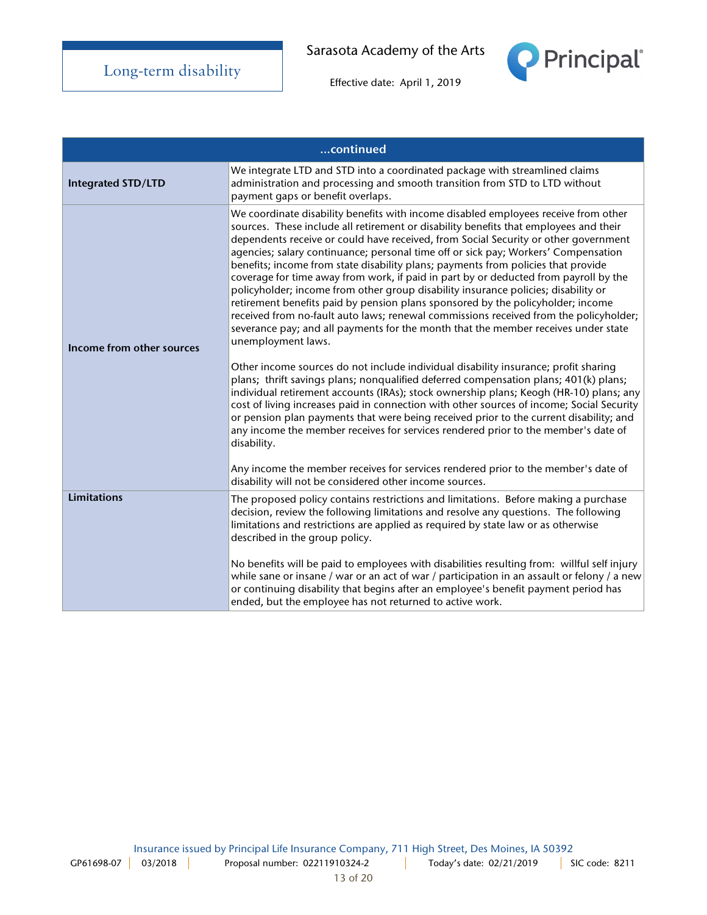

|                           | continued                                                                                                                                                                                                                                                                                                                                                                                                                                                                                                                                                                                                                                                                                                                                                                                                                                                                                                                                                                                                                                                                                                                                                                                                                                                                                                                                                                                                                                                                                                                                                                                                                                  |
|---------------------------|--------------------------------------------------------------------------------------------------------------------------------------------------------------------------------------------------------------------------------------------------------------------------------------------------------------------------------------------------------------------------------------------------------------------------------------------------------------------------------------------------------------------------------------------------------------------------------------------------------------------------------------------------------------------------------------------------------------------------------------------------------------------------------------------------------------------------------------------------------------------------------------------------------------------------------------------------------------------------------------------------------------------------------------------------------------------------------------------------------------------------------------------------------------------------------------------------------------------------------------------------------------------------------------------------------------------------------------------------------------------------------------------------------------------------------------------------------------------------------------------------------------------------------------------------------------------------------------------------------------------------------------------|
| <b>Integrated STD/LTD</b> | We integrate LTD and STD into a coordinated package with streamlined claims<br>administration and processing and smooth transition from STD to LTD without<br>payment gaps or benefit overlaps.                                                                                                                                                                                                                                                                                                                                                                                                                                                                                                                                                                                                                                                                                                                                                                                                                                                                                                                                                                                                                                                                                                                                                                                                                                                                                                                                                                                                                                            |
| Income from other sources | We coordinate disability benefits with income disabled employees receive from other<br>sources. These include all retirement or disability benefits that employees and their<br>dependents receive or could have received, from Social Security or other government<br>agencies; salary continuance; personal time off or sick pay; Workers' Compensation<br>benefits; income from state disability plans; payments from policies that provide<br>coverage for time away from work, if paid in part by or deducted from payroll by the<br>policyholder; income from other group disability insurance policies; disability or<br>retirement benefits paid by pension plans sponsored by the policyholder; income<br>received from no-fault auto laws; renewal commissions received from the policyholder;<br>severance pay; and all payments for the month that the member receives under state<br>unemployment laws.<br>Other income sources do not include individual disability insurance; profit sharing<br>plans; thrift savings plans; nonqualified deferred compensation plans; 401(k) plans;<br>individual retirement accounts (IRAs); stock ownership plans; Keogh (HR-10) plans; any<br>cost of living increases paid in connection with other sources of income; Social Security<br>or pension plan payments that were being received prior to the current disability; and<br>any income the member receives for services rendered prior to the member's date of<br>disability.<br>Any income the member receives for services rendered prior to the member's date of<br>disability will not be considered other income sources. |
| <b>Limitations</b>        | The proposed policy contains restrictions and limitations. Before making a purchase<br>decision, review the following limitations and resolve any questions. The following<br>limitations and restrictions are applied as required by state law or as otherwise<br>described in the group policy.<br>No benefits will be paid to employees with disabilities resulting from: willful self injury                                                                                                                                                                                                                                                                                                                                                                                                                                                                                                                                                                                                                                                                                                                                                                                                                                                                                                                                                                                                                                                                                                                                                                                                                                           |
|                           | while sane or insane / war or an act of war / participation in an assault or felony / a new<br>or continuing disability that begins after an employee's benefit payment period has<br>ended, but the employee has not returned to active work.                                                                                                                                                                                                                                                                                                                                                                                                                                                                                                                                                                                                                                                                                                                                                                                                                                                                                                                                                                                                                                                                                                                                                                                                                                                                                                                                                                                             |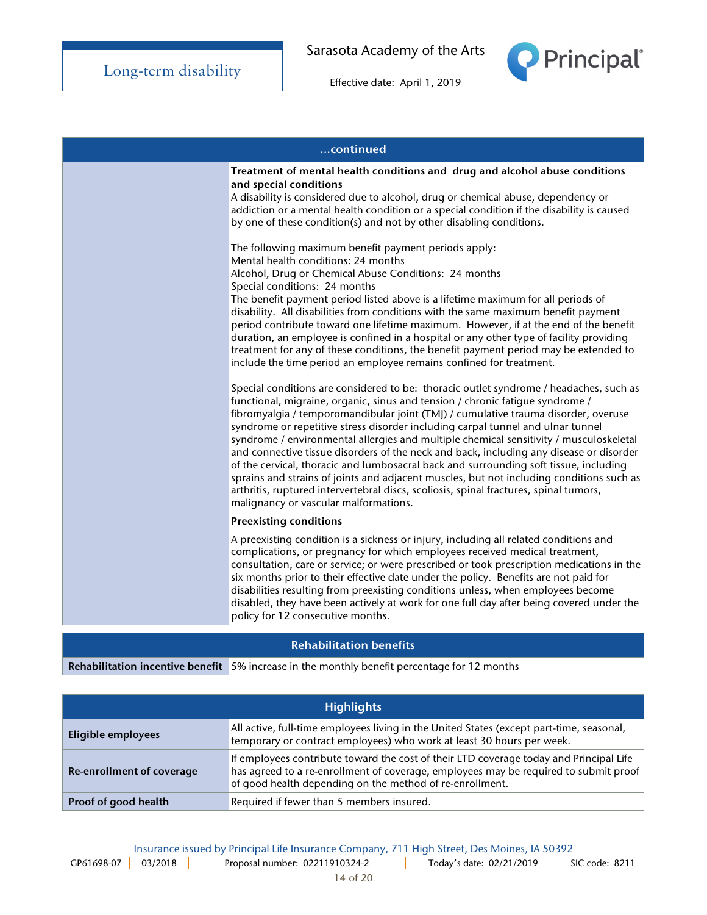

Effective date: April 1, 2019

| continued |                                                                                                                                                                                                                                                                                                                                                                                                                                                                                                                                                                                                                                                                                                                                                                                                                                                                                                                                                                                                                                                                                    |
|-----------|------------------------------------------------------------------------------------------------------------------------------------------------------------------------------------------------------------------------------------------------------------------------------------------------------------------------------------------------------------------------------------------------------------------------------------------------------------------------------------------------------------------------------------------------------------------------------------------------------------------------------------------------------------------------------------------------------------------------------------------------------------------------------------------------------------------------------------------------------------------------------------------------------------------------------------------------------------------------------------------------------------------------------------------------------------------------------------|
|           | Treatment of mental health conditions and drug and alcohol abuse conditions<br>and special conditions<br>A disability is considered due to alcohol, drug or chemical abuse, dependency or<br>addiction or a mental health condition or a special condition if the disability is caused<br>by one of these condition(s) and not by other disabling conditions.<br>The following maximum benefit payment periods apply:<br>Mental health conditions: 24 months<br>Alcohol, Drug or Chemical Abuse Conditions: 24 months<br>Special conditions: 24 months<br>The benefit payment period listed above is a lifetime maximum for all periods of<br>disability. All disabilities from conditions with the same maximum benefit payment<br>period contribute toward one lifetime maximum. However, if at the end of the benefit<br>duration, an employee is confined in a hospital or any other type of facility providing<br>treatment for any of these conditions, the benefit payment period may be extended to<br>include the time period an employee remains confined for treatment. |
|           | Special conditions are considered to be: thoracic outlet syndrome / headaches, such as<br>functional, migraine, organic, sinus and tension / chronic fatigue syndrome /<br>fibromyalgia / temporomandibular joint (TMJ) / cumulative trauma disorder, overuse<br>syndrome or repetitive stress disorder including carpal tunnel and ulnar tunnel<br>syndrome / environmental allergies and multiple chemical sensitivity / musculoskeletal<br>and connective tissue disorders of the neck and back, including any disease or disorder<br>of the cervical, thoracic and lumbosacral back and surrounding soft tissue, including<br>sprains and strains of joints and adjacent muscles, but not including conditions such as<br>arthritis, ruptured intervertebral discs, scoliosis, spinal fractures, spinal tumors,<br>malignancy or vascular malformations.                                                                                                                                                                                                                       |
|           | <b>Preexisting conditions</b>                                                                                                                                                                                                                                                                                                                                                                                                                                                                                                                                                                                                                                                                                                                                                                                                                                                                                                                                                                                                                                                      |
|           | A preexisting condition is a sickness or injury, including all related conditions and<br>complications, or pregnancy for which employees received medical treatment,<br>consultation, care or service; or were prescribed or took prescription medications in the<br>six months prior to their effective date under the policy. Benefits are not paid for<br>disabilities resulting from preexisting conditions unless, when employees become<br>disabled, they have been actively at work for one full day after being covered under the<br>policy for 12 consecutive months.                                                                                                                                                                                                                                                                                                                                                                                                                                                                                                     |

## Rehabilitation benefits

Rehabilitation incentive benefit  $\frac{1}{5\%}$  increase in the monthly benefit percentage for 12 months

| <b>Highlights</b>         |                                                                                                                                                                                                                                            |
|---------------------------|--------------------------------------------------------------------------------------------------------------------------------------------------------------------------------------------------------------------------------------------|
| Eligible employees        | All active, full-time employees living in the United States (except part-time, seasonal,<br>temporary or contract employees) who work at least 30 hours per week.                                                                          |
| Re-enrollment of coverage | If employees contribute toward the cost of their LTD coverage today and Principal Life<br>has agreed to a re-enrollment of coverage, employees may be required to submit proof<br>of good health depending on the method of re-enrollment. |
| Proof of good health      | Required if fewer than 5 members insured.                                                                                                                                                                                                  |

Insurance issued by Principal Life Insurance Company, 711 High Street, Des Moines, IA 50392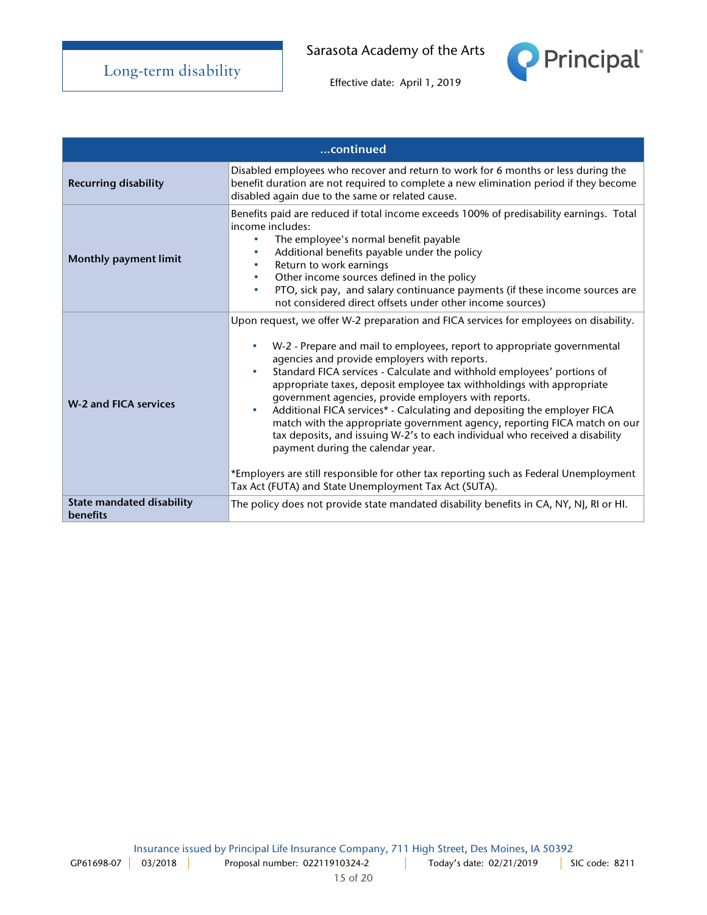

|                                                     | continued                                                                                                                                                                                                                                                                                                                                                                                                                                                                                                                                                                                                                                                                                                                                                                                                                                                                             |
|-----------------------------------------------------|---------------------------------------------------------------------------------------------------------------------------------------------------------------------------------------------------------------------------------------------------------------------------------------------------------------------------------------------------------------------------------------------------------------------------------------------------------------------------------------------------------------------------------------------------------------------------------------------------------------------------------------------------------------------------------------------------------------------------------------------------------------------------------------------------------------------------------------------------------------------------------------|
| <b>Recurring disability</b>                         | Disabled employees who recover and return to work for 6 months or less during the<br>benefit duration are not required to complete a new elimination period if they become<br>disabled again due to the same or related cause.                                                                                                                                                                                                                                                                                                                                                                                                                                                                                                                                                                                                                                                        |
| <b>Monthly payment limit</b>                        | Benefits paid are reduced if total income exceeds 100% of predisability earnings. Total<br>income includes:<br>The employee's normal benefit payable<br>۰<br>Additional benefits payable under the policy<br>$\bullet$<br>Return to work earnings<br>$\bullet$<br>Other income sources defined in the policy<br>$\bullet$<br>PTO, sick pay, and salary continuance payments (if these income sources are<br>$\bullet$<br>not considered direct offsets under other income sources)                                                                                                                                                                                                                                                                                                                                                                                                    |
| <b>W-2 and FICA services</b>                        | Upon request, we offer W-2 preparation and FICA services for employees on disability.<br>W-2 - Prepare and mail to employees, report to appropriate governmental<br>agencies and provide employers with reports.<br>Standard FICA services - Calculate and withhold employees' portions of<br>$\bullet$<br>appropriate taxes, deposit employee tax withholdings with appropriate<br>government agencies, provide employers with reports.<br>Additional FICA services* - Calculating and depositing the employer FICA<br>$\bullet$<br>match with the appropriate government agency, reporting FICA match on our<br>tax deposits, and issuing W-2's to each individual who received a disability<br>payment during the calendar year.<br>*Employers are still responsible for other tax reporting such as Federal Unemployment<br>Tax Act (FUTA) and State Unemployment Tax Act (SUTA). |
| <b>State mandated disability</b><br><b>benefits</b> | The policy does not provide state mandated disability benefits in CA, NY, NJ, RI or HI.                                                                                                                                                                                                                                                                                                                                                                                                                                                                                                                                                                                                                                                                                                                                                                                               |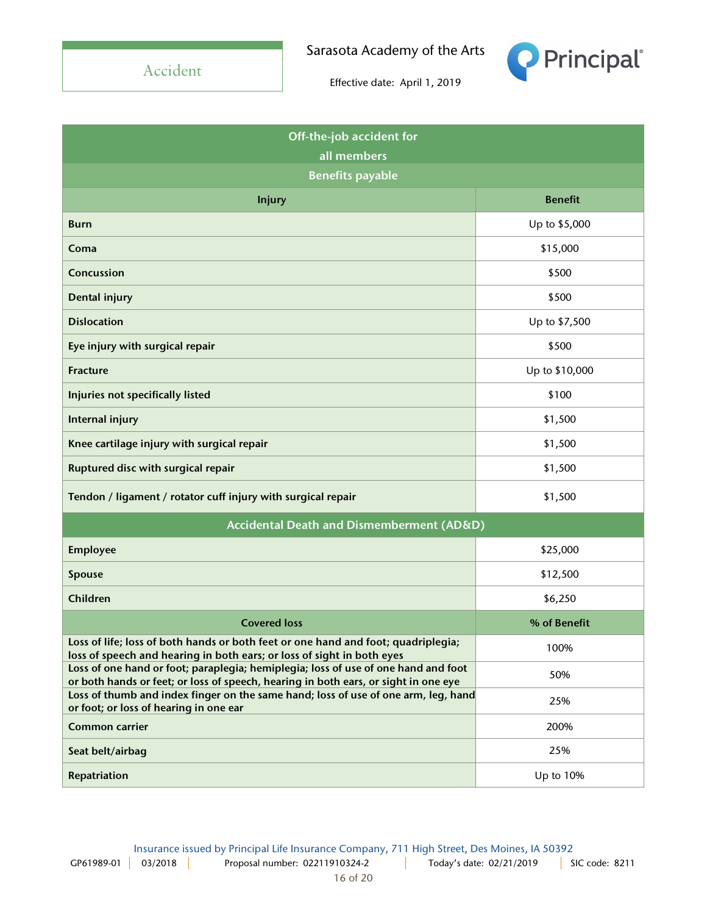Accident

Sarasota Academy of the Arts



| Off-the-job accident for                                                                                                                                                  |                |
|---------------------------------------------------------------------------------------------------------------------------------------------------------------------------|----------------|
| all members                                                                                                                                                               |                |
| <b>Benefits payable</b>                                                                                                                                                   |                |
| <b>Injury</b>                                                                                                                                                             | <b>Benefit</b> |
| <b>Burn</b>                                                                                                                                                               | Up to \$5,000  |
| Coma                                                                                                                                                                      | \$15,000       |
| Concussion                                                                                                                                                                | \$500          |
| Dental injury                                                                                                                                                             | \$500          |
| <b>Dislocation</b>                                                                                                                                                        | Up to \$7,500  |
| Eye injury with surgical repair                                                                                                                                           | \$500          |
| <b>Fracture</b>                                                                                                                                                           | Up to \$10,000 |
| Injuries not specifically listed                                                                                                                                          | \$100          |
| Internal injury                                                                                                                                                           | \$1,500        |
| Knee cartilage injury with surgical repair                                                                                                                                | \$1,500        |
| Ruptured disc with surgical repair                                                                                                                                        | \$1,500        |
| Tendon / ligament / rotator cuff injury with surgical repair                                                                                                              | \$1,500        |
| Accidental Death and Dismemberment (AD&D)                                                                                                                                 |                |
| <b>Employee</b>                                                                                                                                                           | \$25,000       |
| Spouse                                                                                                                                                                    | \$12,500       |
| Children                                                                                                                                                                  | \$6,250        |
| <b>Covered loss</b>                                                                                                                                                       | % of Benefit   |
| Loss of life; loss of both hands or both feet or one hand and foot; quadriplegia;<br>loss of speech and hearing in both ears; or loss of sight in both eyes               | 100%           |
| Loss of one hand or foot; paraplegia; hemiplegia; loss of use of one hand and foot<br>or both hands or feet; or loss of speech, hearing in both ears, or sight in one eye | 50%            |
| Loss of thumb and index finger on the same hand; loss of use of one arm, leg, hand<br>or foot; or loss of hearing in one ear                                              | 25%            |
| <b>Common carrier</b>                                                                                                                                                     | 200%           |
| Seat belt/airbag                                                                                                                                                          | 25%            |
| Repatriation                                                                                                                                                              | Up to 10%      |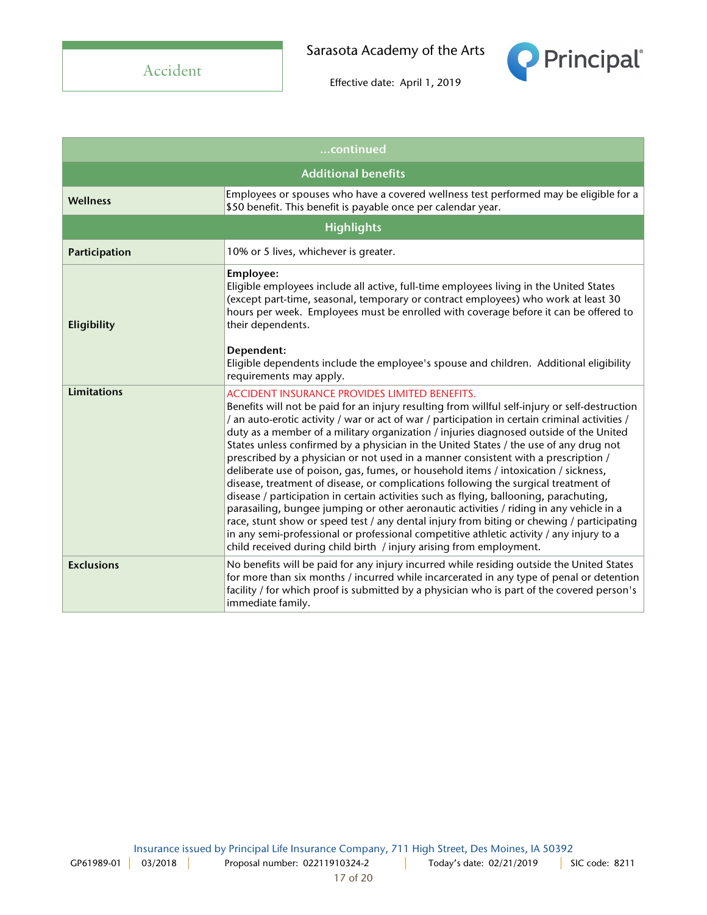

| continued         |                                                                                                                                                                                                                                                                                                                                                                                                                                                                                                                                                                                                                                                                                                                                                                                                                                                                                                                                                                                                                                                                                                                                                                      |
|-------------------|----------------------------------------------------------------------------------------------------------------------------------------------------------------------------------------------------------------------------------------------------------------------------------------------------------------------------------------------------------------------------------------------------------------------------------------------------------------------------------------------------------------------------------------------------------------------------------------------------------------------------------------------------------------------------------------------------------------------------------------------------------------------------------------------------------------------------------------------------------------------------------------------------------------------------------------------------------------------------------------------------------------------------------------------------------------------------------------------------------------------------------------------------------------------|
|                   | <b>Additional benefits</b>                                                                                                                                                                                                                                                                                                                                                                                                                                                                                                                                                                                                                                                                                                                                                                                                                                                                                                                                                                                                                                                                                                                                           |
| <b>Wellness</b>   | Employees or spouses who have a covered wellness test performed may be eligible for a<br>\$50 benefit. This benefit is payable once per calendar year.                                                                                                                                                                                                                                                                                                                                                                                                                                                                                                                                                                                                                                                                                                                                                                                                                                                                                                                                                                                                               |
| <b>Highlights</b> |                                                                                                                                                                                                                                                                                                                                                                                                                                                                                                                                                                                                                                                                                                                                                                                                                                                                                                                                                                                                                                                                                                                                                                      |
| Participation     | 10% or 5 lives, whichever is greater.                                                                                                                                                                                                                                                                                                                                                                                                                                                                                                                                                                                                                                                                                                                                                                                                                                                                                                                                                                                                                                                                                                                                |
| Eligibility       | Employee:<br>Eligible employees include all active, full-time employees living in the United States<br>(except part-time, seasonal, temporary or contract employees) who work at least 30<br>hours per week. Employees must be enrolled with coverage before it can be offered to<br>their dependents.                                                                                                                                                                                                                                                                                                                                                                                                                                                                                                                                                                                                                                                                                                                                                                                                                                                               |
|                   | Dependent:<br>Eligible dependents include the employee's spouse and children. Additional eligibility<br>requirements may apply.                                                                                                                                                                                                                                                                                                                                                                                                                                                                                                                                                                                                                                                                                                                                                                                                                                                                                                                                                                                                                                      |
| Limitations       | <b>ACCIDENT INSURANCE PROVIDES LIMITED BENEFITS.</b><br>Benefits will not be paid for an injury resulting from willful self-injury or self-destruction<br>/ an auto-erotic activity / war or act of war / participation in certain criminal activities /<br>duty as a member of a military organization / injuries diagnosed outside of the United<br>States unless confirmed by a physician in the United States / the use of any drug not<br>prescribed by a physician or not used in a manner consistent with a prescription /<br>deliberate use of poison, gas, fumes, or household items / intoxication / sickness,<br>disease, treatment of disease, or complications following the surgical treatment of<br>disease / participation in certain activities such as flying, ballooning, parachuting,<br>parasailing, bungee jumping or other aeronautic activities / riding in any vehicle in a<br>race, stunt show or speed test / any dental injury from biting or chewing / participating<br>in any semi-professional or professional competitive athletic activity / any injury to a<br>child received during child birth / injury arising from employment. |
| <b>Exclusions</b> | No benefits will be paid for any injury incurred while residing outside the United States<br>for more than six months / incurred while incarcerated in any type of penal or detention<br>facility / for which proof is submitted by a physician who is part of the covered person's<br>immediate family.                                                                                                                                                                                                                                                                                                                                                                                                                                                                                                                                                                                                                                                                                                                                                                                                                                                             |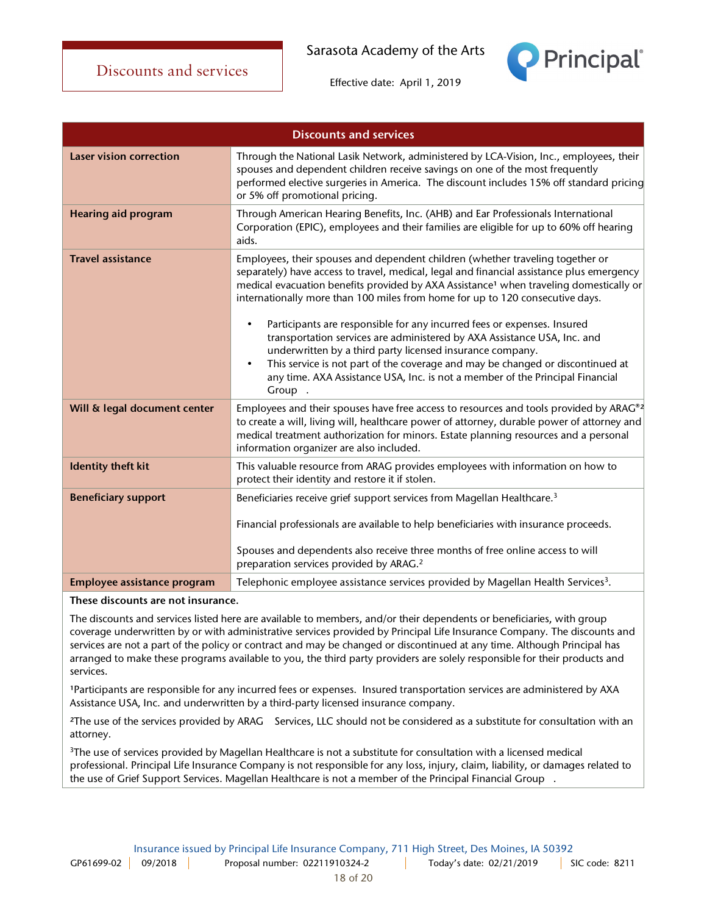**Principal** 



Effective date: April 1, 2019



These discounts are not insurance.

The discounts and services listed here are available to members, and/or their dependents or beneficiaries, with group coverage underwritten by or with administrative services provided by Principal Life Insurance Company. The discounts and services are not a part of the policy or contract and may be changed or discontinued at any time. Although Principal has arranged to make these programs available to you, the third party providers are solely responsible for their products and services.

<sup>1</sup>Participants are responsible for any incurred fees or expenses. Insured transportation services are administered by AXA Assistance USA, Inc. and underwritten by a third-party licensed insurance company.

<sup>2</sup>The use of the services provided by ARAG® Services, LLC should not be considered as a substitute for consultation with an attorney.

<sup>3</sup>The use of services provided by Magellan Healthcare is not a substitute for consultation with a licensed medical professional. Principal Life Insurance Company is not responsible for any loss, injury, claim, liability, or damages related to the use of Grief Support Services. Magellan Healthcare is not a member of the Principal Financial Group®.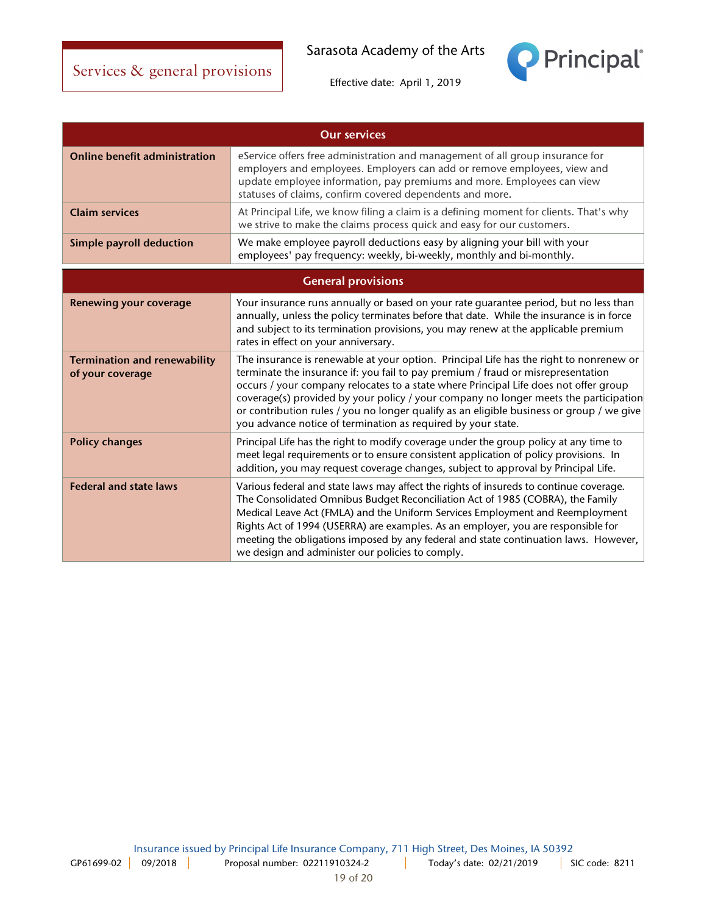

| <b>Our services</b>                                     |                                                                                                                                                                                                                                                                                                                                                                                                                                                                                                                        |
|---------------------------------------------------------|------------------------------------------------------------------------------------------------------------------------------------------------------------------------------------------------------------------------------------------------------------------------------------------------------------------------------------------------------------------------------------------------------------------------------------------------------------------------------------------------------------------------|
| <b>Online benefit administration</b>                    | eService offers free administration and management of all group insurance for<br>employers and employees. Employers can add or remove employees, view and<br>update employee information, pay premiums and more. Employees can view<br>statuses of claims, confirm covered dependents and more.                                                                                                                                                                                                                        |
| <b>Claim services</b>                                   | At Principal Life, we know filing a claim is a defining moment for clients. That's why<br>we strive to make the claims process quick and easy for our customers.                                                                                                                                                                                                                                                                                                                                                       |
| <b>Simple payroll deduction</b>                         | We make employee payroll deductions easy by aligning your bill with your<br>employees' pay frequency: weekly, bi-weekly, monthly and bi-monthly.                                                                                                                                                                                                                                                                                                                                                                       |
| <b>General provisions</b>                               |                                                                                                                                                                                                                                                                                                                                                                                                                                                                                                                        |
| <b>Renewing your coverage</b>                           | Your insurance runs annually or based on your rate guarantee period, but no less than<br>annually, unless the policy terminates before that date. While the insurance is in force<br>and subject to its termination provisions, you may renew at the applicable premium<br>rates in effect on your anniversary.                                                                                                                                                                                                        |
| <b>Termination and renewability</b><br>of your coverage | The insurance is renewable at your option. Principal Life has the right to nonrenew or<br>terminate the insurance if: you fail to pay premium / fraud or misrepresentation<br>occurs / your company relocates to a state where Principal Life does not offer group<br>coverage(s) provided by your policy / your company no longer meets the participation<br>or contribution rules / you no longer qualify as an eligible business or group / we give<br>you advance notice of termination as required by your state. |
| <b>Policy changes</b>                                   | Principal Life has the right to modify coverage under the group policy at any time to<br>meet legal requirements or to ensure consistent application of policy provisions. In<br>addition, you may request coverage changes, subject to approval by Principal Life.                                                                                                                                                                                                                                                    |
| <b>Federal and state laws</b>                           | Various federal and state laws may affect the rights of insureds to continue coverage.<br>The Consolidated Omnibus Budget Reconciliation Act of 1985 (COBRA), the Family<br>Medical Leave Act (FMLA) and the Uniform Services Employment and Reemployment<br>Rights Act of 1994 (USERRA) are examples. As an employer, you are responsible for<br>meeting the obligations imposed by any federal and state continuation laws. However,<br>we design and administer our policies to comply.                             |